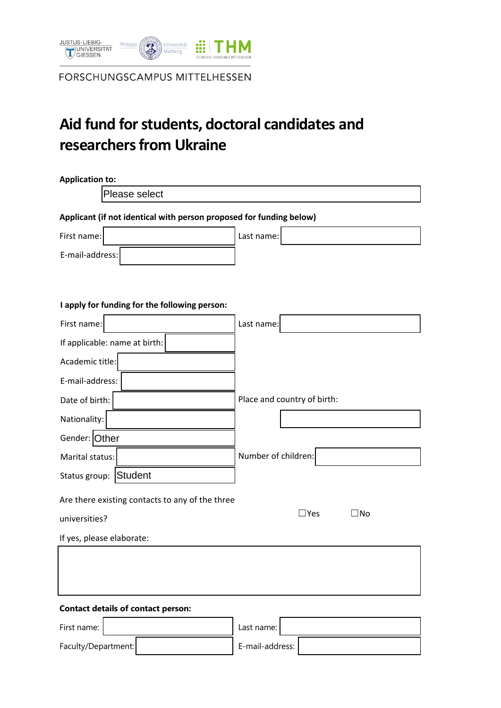

FORSCHUNGSCAMPUS MITTELHESSEN

# **Aid fund for students, doctoral candidates and researchers from Ukraine**

| <b>Application to:</b>                                              |                     |                             |  |  |  |  |  |
|---------------------------------------------------------------------|---------------------|-----------------------------|--|--|--|--|--|
| Please select                                                       |                     |                             |  |  |  |  |  |
| Applicant (if not identical with person proposed for funding below) |                     |                             |  |  |  |  |  |
| First name:                                                         | Last name:          |                             |  |  |  |  |  |
| E-mail-address:                                                     |                     |                             |  |  |  |  |  |
|                                                                     |                     |                             |  |  |  |  |  |
| I apply for funding for the following person:                       |                     |                             |  |  |  |  |  |
| First name:                                                         | Last name:          |                             |  |  |  |  |  |
| If applicable: name at birth:                                       |                     |                             |  |  |  |  |  |
| Academic title:                                                     |                     |                             |  |  |  |  |  |
| E-mail-address:                                                     |                     |                             |  |  |  |  |  |
| Date of birth:                                                      |                     | Place and country of birth: |  |  |  |  |  |
| Nationality:                                                        |                     |                             |  |  |  |  |  |
| Gender: Other                                                       |                     |                             |  |  |  |  |  |
| Marital status:                                                     | Number of children: |                             |  |  |  |  |  |
| Status group: Student                                               |                     |                             |  |  |  |  |  |
| Are there existing contacts to any of the three                     |                     |                             |  |  |  |  |  |
| universities?                                                       |                     | $\Box$ Yes<br>$\square$ No  |  |  |  |  |  |
| If yes, please elaborate:                                           |                     |                             |  |  |  |  |  |
|                                                                     |                     |                             |  |  |  |  |  |
|                                                                     |                     |                             |  |  |  |  |  |
|                                                                     |                     |                             |  |  |  |  |  |
| <b>Contact details of contact person:</b>                           |                     |                             |  |  |  |  |  |
| First name:                                                         | Last name:          |                             |  |  |  |  |  |

Faculty/Department: E-mail-address: